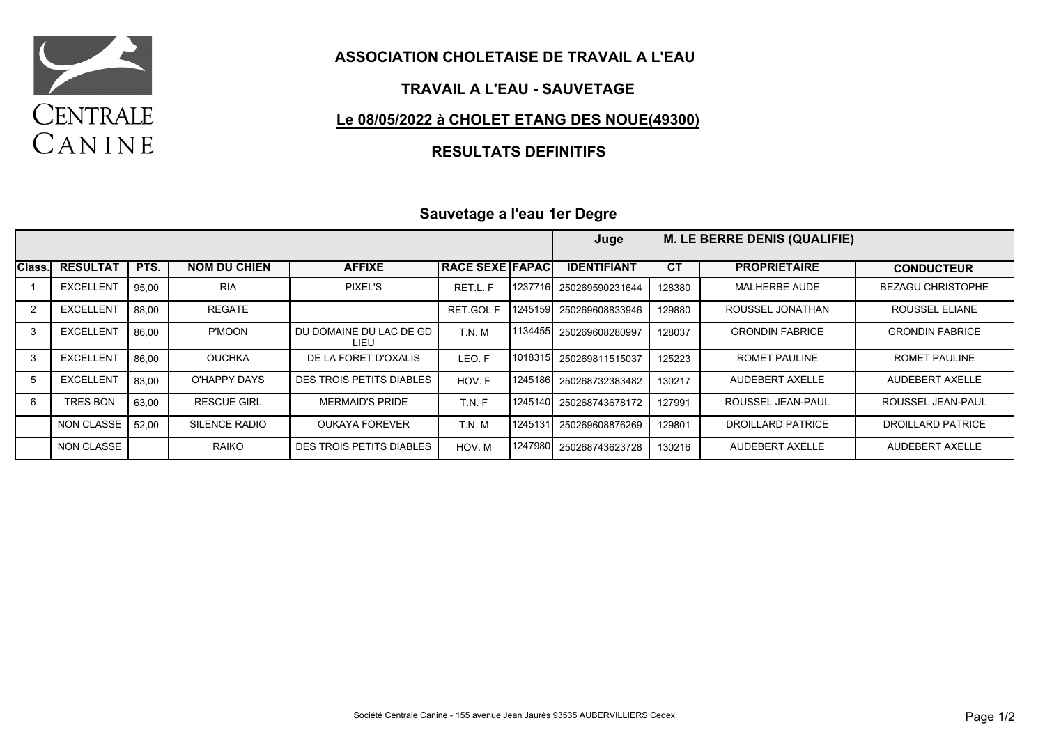

#### **ASSOCIATION CHOLETAISE DE TRAVAIL A L'EAU**

### **TRAVAIL A L'EAU - SAUVETAGE**

### **Le 08/05/2022 à CHOLET ETANG DES NOUE(49300)**

### **RESULTATS DEFINITIFS**

### **Sauvetage a l'eau 1er Degre**

|            |                   |       |                      |                                 |                        |         | Juge               |           | <b>M. LE BERRE DENIS (QUALIFIE)</b> |                          |
|------------|-------------------|-------|----------------------|---------------------------------|------------------------|---------|--------------------|-----------|-------------------------------------|--------------------------|
| Class.     | <b>RESULTAT</b>   | PTS.  | <b>NOM DU CHIEN</b>  | <b>AFFIXE</b>                   | <b>RACE SEXE FAPAC</b> |         | <b>IDENTIFIANT</b> | <b>CT</b> | <b>PROPRIETAIRE</b>                 | <b>CONDUCTEUR</b>        |
|            | <b>EXCELLENT</b>  | 95.00 | <b>RIA</b>           | <b>PIXEL'S</b>                  | RET.L. F               | 1237716 | 250269590231644    | 128380    | <b>MALHERBE AUDE</b>                | <b>BEZAGU CHRISTOPHE</b> |
| 2          | <b>EXCELLENT</b>  | 88.00 | <b>REGATE</b>        |                                 | <b>RET.GOL F</b>       | 1245159 | 250269608833946    | 129880    | ROUSSEL JONATHAN                    | ROUSSEL ELIANE           |
| 3          | <b>EXCELLENT</b>  | 86.00 | P'MOON               | DU DOMAINE DU LAC DE GD<br>LIEU | T.N.M                  | 1134455 | 250269608280997    | 128037    | <b>GRONDIN FABRICE</b>              | <b>GRONDIN FABRICE</b>   |
| 3          | <b>EXCELLENT</b>  | 86.00 | <b>OUCHKA</b>        | DE LA FORET D'OXALIS            | LEO.F                  | 1018315 | 250269811515037    | 125223    | ROMET PAULINE                       | ROMET PAULINE            |
| $\sqrt{5}$ | <b>EXCELLENT</b>  | 83.00 | O'HAPPY DAYS         | DES TROIS PETITS DIABLES        | HOV. F                 | 1245186 | 250268732383482    | 130217    | AUDEBERT AXELLE                     | AUDEBERT AXELLE          |
| 6          | <b>TRES BON</b>   | 63.00 | <b>RESCUE GIRL</b>   | <b>MERMAID'S PRIDE</b>          | T.N.F                  | 1245140 | 250268743678172    | 127991    | ROUSSEL JEAN-PAUL                   | ROUSSEL JEAN-PAUL        |
|            | <b>NON CLASSE</b> | 52.00 | <b>SILENCE RADIO</b> | <b>OUKAYA FOREVER</b>           | T.N.M                  | 1245131 | 250269608876269    | 129801    | <b>DROILLARD PATRICE</b>            | <b>DROILLARD PATRICE</b> |
|            | <b>NON CLASSE</b> |       | RAIKO                | DES TROIS PETITS DIABLES        | HOV. M                 | 1247980 | 250268743623728    | 130216    | AUDEBERT AXELLE                     | AUDEBERT AXELLE          |